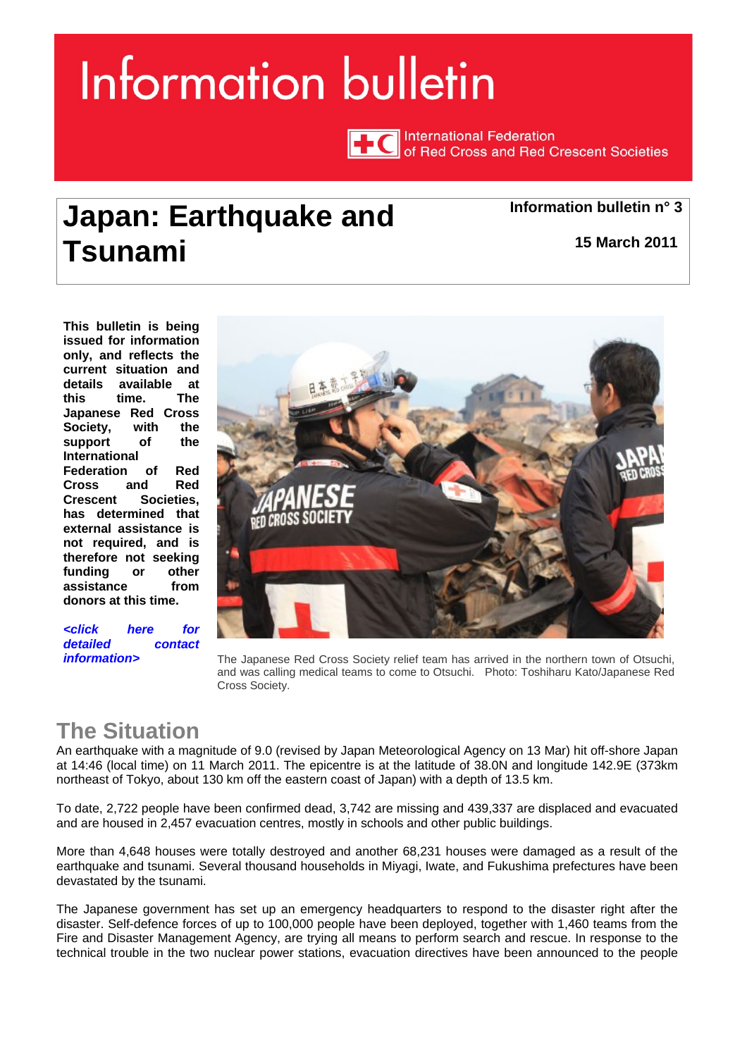# <span id="page-0-0"></span>Information bulletin

**International Federation** of Red Cross and Red Crescent Societies

## **Japan: Earthquake and Tsunami**

**Information bulletin n° 3**

**15 March 2011**

**This bulletin is being issued for information only, and reflects the current situation and details available at this time. The Japanese Red Cross Society, with the support of the International Federation of Red Cross and Red Crescent Societies, has determined that external assistance is not required, and is therefore not seeking funding or other assistance from donors at this time.** 

*[<click here for](#page-2-0)  detailed contact* 



*information>* The Japanese Red Cross Society relief team has arrived in the northern town of Otsuchi, and was calling medical teams to come to Otsuchi. Photo: Toshiharu Kato/Japanese Red Cross Society.

## **The Situation**

An earthquake with a magnitude of 9.0 (revised by Japan Meteorological Agency on 13 Mar) hit off-shore Japan at 14:46 (local time) on 11 March 2011. The epicentre is at the latitude of 38.0N and longitude 142.9E (373km northeast of Tokyo, about 130 km off the eastern coast of Japan) with a depth of 13.5 km.

To date, 2,722 people have been confirmed dead, 3,742 are missing and 439,337 are displaced and evacuated and are housed in 2,457 evacuation centres, mostly in schools and other public buildings.

More than 4,648 houses were totally destroyed and another 68,231 houses were damaged as a result of the earthquake and tsunami. Several thousand households in Miyagi, Iwate, and Fukushima prefectures have been devastated by the tsunami.

The Japanese government has set up an emergency headquarters to respond to the disaster right after the disaster. Self-defence forces of up to 100,000 people have been deployed, together with 1,460 teams from the Fire and Disaster Management Agency, are trying all means to perform search and rescue. In response to the technical trouble in the two nuclear power stations, evacuation directives have been announced to the people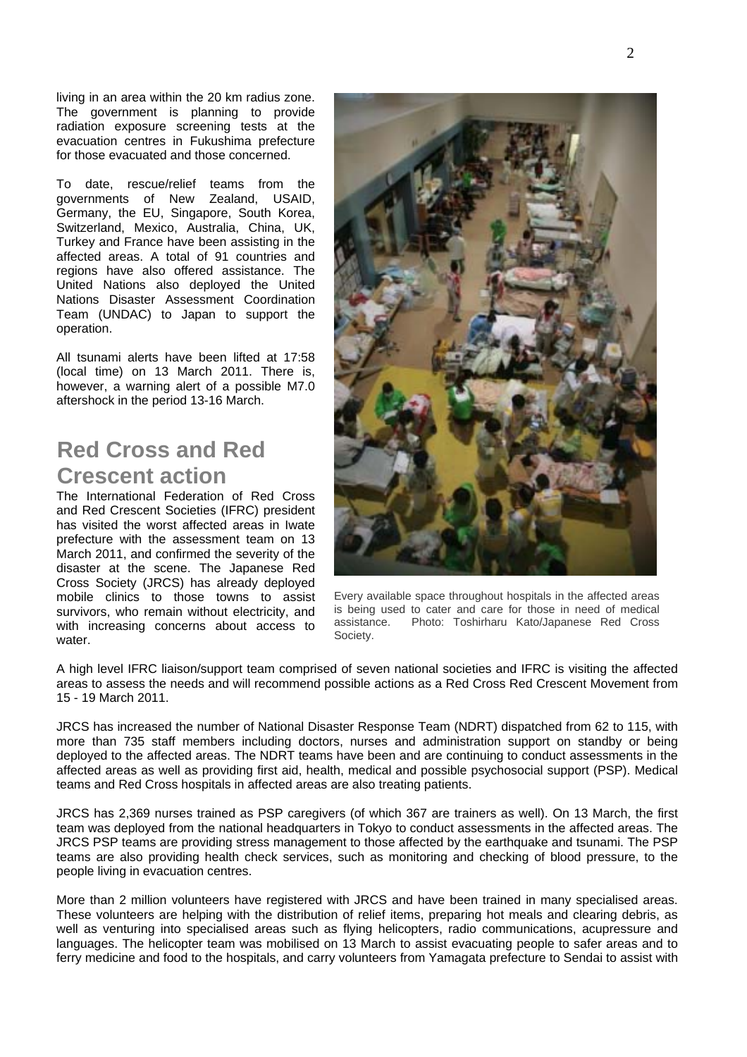living in an area within the 20 km radius zone. The government is planning to provide radiation exposure screening tests at the evacuation centres in Fukushima prefecture for those evacuated and those concerned.

To date, rescue/relief teams from the governments of New Zealand, USAID, Germany, the EU, Singapore, South Korea, Switzerland, Mexico, Australia, China, UK, Turkey and France have been assisting in the affected areas. A total of 91 countries and regions have also offered assistance. The United Nations also deployed the United Nations Disaster Assessment Coordination Team (UNDAC) to Japan to support the operation.

All tsunami alerts have been lifted at 17:58 (local time) on 13 March 2011. There is, however, a warning alert of a possible M7.0 aftershock in the period 13-16 March.

### **Red Cross and Red Crescent action**

The International Federation of Red Cross and Red Crescent Societies (IFRC) president has visited the worst affected areas in Iwate prefecture with the assessment team on 13 March 2011, and confirmed the severity of the disaster at the scene. The Japanese Red Cross Society (JRCS) has already deployed mobile clinics to those towns to assist survivors, who remain without electricity, and with increasing concerns about access to water.



Every available space throughout hospitals in the affected areas is being used to cater and care for those in need of medical assistance. Photo: Toshirharu Kato/Japanese Red Cross Society.

A high level IFRC liaison/support team comprised of seven national societies and IFRC is visiting the affected areas to assess the needs and will recommend possible actions as a Red Cross Red Crescent Movement from 15 - 19 March 2011.

JRCS has increased the number of National Disaster Response Team (NDRT) dispatched from 62 to 115, with more than 735 staff members including doctors, nurses and administration support on standby or being deployed to the affected areas. The NDRT teams have been and are continuing to conduct assessments in the affected areas as well as providing first aid, health, medical and possible psychosocial support (PSP). Medical teams and Red Cross hospitals in affected areas are also treating patients.

JRCS has 2,369 nurses trained as PSP caregivers (of which 367 are trainers as well). On 13 March, the first team was deployed from the national headquarters in Tokyo to conduct assessments in the affected areas. The JRCS PSP teams are providing stress management to those affected by the earthquake and tsunami. The PSP teams are also providing health check services, such as monitoring and checking of blood pressure, to the people living in evacuation centres.

More than 2 million volunteers have registered with JRCS and have been trained in many specialised areas. These volunteers are helping with the distribution of relief items, preparing hot meals and clearing debris, as well as venturing into specialised areas such as flying helicopters, radio communications, acupressure and languages. The helicopter team was mobilised on 13 March to assist evacuating people to safer areas and to ferry medicine and food to the hospitals, and carry volunteers from Yamagata prefecture to Sendai to assist with